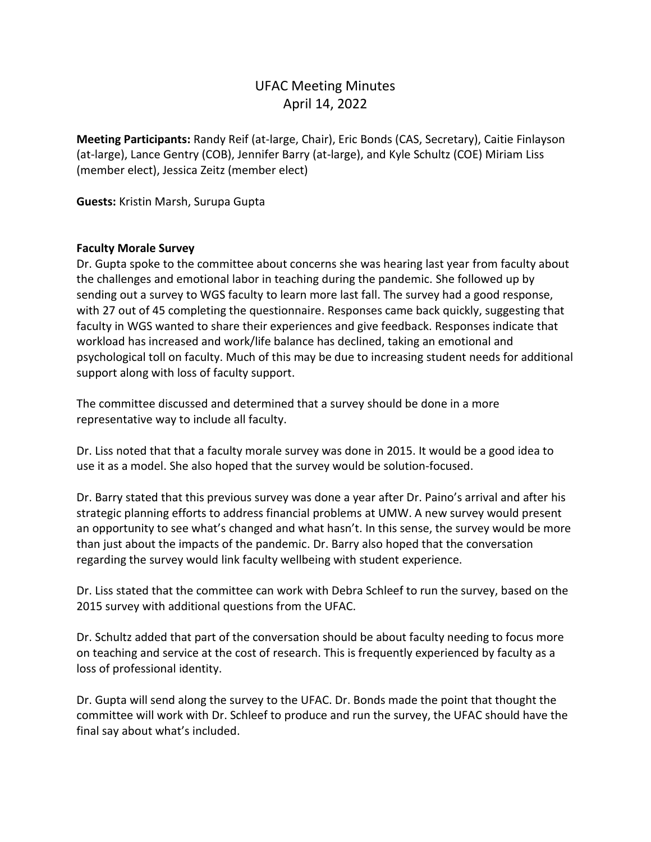# UFAC Meeting Minutes April 14, 2022

**Meeting Participants:** Randy Reif (at-large, Chair), Eric Bonds (CAS, Secretary), Caitie Finlayson (at-large), Lance Gentry (COB), Jennifer Barry (at-large), and Kyle Schultz (COE) Miriam Liss (member elect), Jessica Zeitz (member elect)

**Guests:** Kristin Marsh, Surupa Gupta

## **Faculty Morale Survey**

Dr. Gupta spoke to the committee about concerns she was hearing last year from faculty about the challenges and emotional labor in teaching during the pandemic. She followed up by sending out a survey to WGS faculty to learn more last fall. The survey had a good response, with 27 out of 45 completing the questionnaire. Responses came back quickly, suggesting that faculty in WGS wanted to share their experiences and give feedback. Responses indicate that workload has increased and work/life balance has declined, taking an emotional and psychological toll on faculty. Much of this may be due to increasing student needs for additional support along with loss of faculty support.

The committee discussed and determined that a survey should be done in a more representative way to include all faculty.

Dr. Liss noted that that a faculty morale survey was done in 2015. It would be a good idea to use it as a model. She also hoped that the survey would be solution-focused.

Dr. Barry stated that this previous survey was done a year after Dr. Paino's arrival and after his strategic planning efforts to address financial problems at UMW. A new survey would present an opportunity to see what's changed and what hasn't. In this sense, the survey would be more than just about the impacts of the pandemic. Dr. Barry also hoped that the conversation regarding the survey would link faculty wellbeing with student experience.

Dr. Liss stated that the committee can work with Debra Schleef to run the survey, based on the 2015 survey with additional questions from the UFAC.

Dr. Schultz added that part of the conversation should be about faculty needing to focus more on teaching and service at the cost of research. This is frequently experienced by faculty as a loss of professional identity.

Dr. Gupta will send along the survey to the UFAC. Dr. Bonds made the point that thought the committee will work with Dr. Schleef to produce and run the survey, the UFAC should have the final say about what's included.